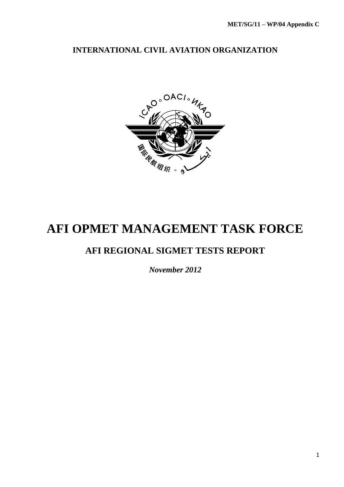# **INTERNATIONAL CIVIL AVIATION ORGANIZATION**



# **AFI OPMET MANAGEMENT TASK FORCE**

# **AFI REGIONAL SIGMET TESTS REPORT**

*November 2012*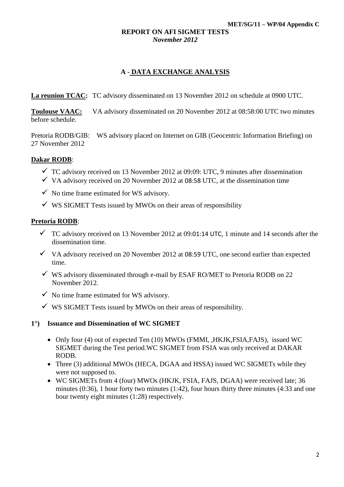#### **REPORT ON AFI SIGMET TESTS** *November 2012*

# **A - DATA EXCHANGE ANALYSIS**

**La reunion TCAC:** TC advisory disseminated on 13 November 2012 on schedule at 0900 UTC.

**Toulouse VAAC:** VA advisory disseminated on 20 November 2012 at 08:58:00 UTC two minutes before schedule.

Pretoria RODB/GIB: WS advisory placed on Internet on GIB (Geocentric Information Briefing) on 27 November 2012

# **Dakar RODB**:

- $\checkmark$  TC advisory received on 13 November 2012 at 09:09: UTC, 9 minutes after dissemination
- $\checkmark$  VA advisory received on 20 November 2012 at 08:58 UTC, at the dissemination time
- $\checkmark$  No time frame estimated for WS advisory.
- $\checkmark$  WS SIGMET Tests issued by MWOs on their areas of responsibility

# **Pretoria RODB**:

- $\checkmark$  TC advisory received on 13 November 2012 at 09:01:14 UTC, 1 minute and 14 seconds after the dissemination time.
- $\checkmark$  VA advisory received on 20 November 2012 at 08:59 UTC, one second earlier than expected time.
- $\checkmark$  WS advisory disseminated through e-mail by ESAF RO/MET to Pretoria RODB on 22 November 2012.
- $\checkmark$  No time frame estimated for WS advisory.
- $\checkmark$  WS SIGMET Tests issued by MWOs on their areas of responsibility.

#### **1°) Issuance and Dissemination of WC SIGMET**

- Only four (4) out of expected Ten (10) MWOs (FMMI, HKJK,FSIA,FAJS), issued WC SIGMET during the Test period*.*WC SIGMET from FSIA was only received at DAKAR RODB.
- Three (3) additional MWOs (HECA, DGAA and HSSA) issued WC SIGMETs while they were not supposed to.
- WC SIGMETs from 4 (four) MWOs (HKJK, FSIA, FAJS, DGAA) were received late; 36 minutes (0:36), 1 hour forty two minutes (1:42), four hours thirty three minutes (4:33 and one hour twenty eight minutes (1:28) respectively.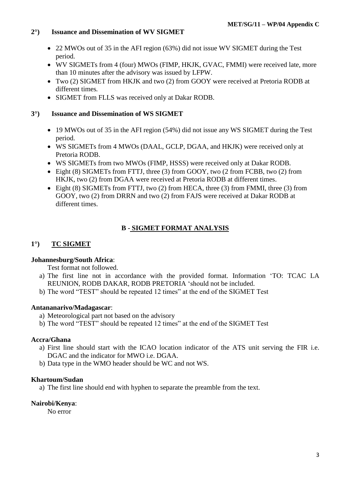# **2°) Issuance and Dissemination of WV SIGMET**

- 22 MWOs out of 35 in the AFI region (63%) did not issue WV SIGMET during the Test period.
- WV SIGMETs from 4 (four) MWOs (FIMP, HKJK, GVAC, FMMI) were received late, more than 10 minutes after the advisory was issued by LFPW.
- Two (2) SIGMET from HKJK and two (2) from GOOY were received at Pretoria RODB at different times*.*
- SIGMET from FLLS was received only at Dakar RODB.

# **3°) Issuance and Dissemination of WS SIGMET**

- 19 MWOs out of 35 in the AFI region (54%) did not issue any WS SIGMET during the Test period.
- WS SIGMETs from 4 MWOs (DAAL, GCLP, DGAA, and HKJK) were received only at Pretoria RODB.
- WS SIGMETs from two MWOs (FIMP, HSSS) were received only at Dakar RODB.
- Eight (8) SIGMETs from FTTJ, three (3) from GOOY, two (2 from FCBB, two (2) from HKJK, two (2) from DGAA were received at Pretoria RODB at different times.
- Eight (8) SIGMETs from FTTJ, two (2) from HECA, three (3) from FMMI, three (3) from GOOY, two (2) from DRRN and two (2) from FAJS were received at Dakar RODB at different times.

# **B - SIGMET FORMAT ANALYSIS**

# **1°) TC SIGMET**

# **Johannesburg/South Africa**:

Test format not followed.

- a) The first line not in accordance with the provided format. Information 'TO: TCAC LA REUNION, RODB DAKAR, RODB PRETORIA 'should not be included.
- b) The word "TEST" should be repeated 12 times" at the end of the SIGMET Test

# **Antananarivo/Madagascar**:

- a) Meteorological part not based on the advisory
- b) The word "TEST" should be repeated 12 times" at the end of the SIGMET Test

# **Accra/Ghana**

- a) First line should start with the ICAO location indicator of the ATS unit serving the FIR i.e. DGAC and the indicator for MWO i.e. DGAA.
- b) Data type in the WMO header should be WC and not WS.

# **Khartoum/Sudan**

a) The first line should end with hyphen to separate the preamble from the text.

# **Nairobi/Kenya**:

No error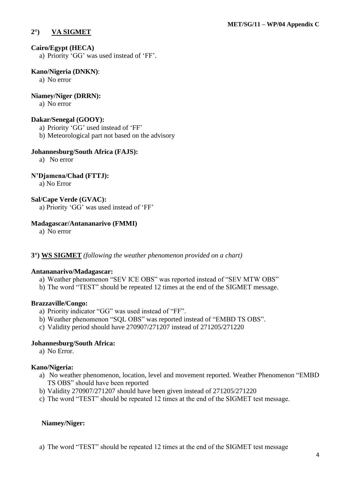# **2°) VA SIGMET**

#### **Cairo/Egypt (HECA)**

a) Priority 'GG' was used instead of 'FF'.

#### **Kano/Nigeria (DNKN)**:

a) No error

#### **Niamey/Niger (DRRN):**

a) No error

#### **Dakar/Senegal (GOOY):**

- a) Priority 'GG' used instead of 'FF'
- b) Meteorological part not based on the advisory

#### **Johannesburg/South Africa (FAJS):**

a) No error

# **N'Djamena/Chad (FTTJ):**

a) No Error

# **Sal/Cape Verde (GVAC):**

a) Priority 'GG' was used instead of 'FF'

#### **Madagascar/Antananarivo (FMMI)**

a) No error

#### **3°) WS SIGMET** *(following the weather phenomenon provided on a chart)*

#### **Antananarivo/Madagascar:**

- a) Weather phenomenon "SEV ICE OBS" was reported instead of "SEV MTW OBS"
- b) The word "TEST" should be repeated 12 times at the end of the SIGMET message.

#### **Brazzaville/Congo:**

- a) Priority indicator "GG" was used instead of "FF".
- b) Weather phenomenon "SQL OBS" was reported instead of "EMBD TS OBS".
- c) Validity period should have 270907/271207 instead of 271205/271220

# **Johannesburg/South Africa:**

a) No Error.

# **Kano/Nigeria:**

- a) No weather phenomenon, location, level and movement reported. Weather Phenomenon "EMBD TS OBS" should have been reported
- b) Validity 270907/271207 should have been given instead of 271205/271220
- c) The word "TEST" should be repeated 12 times at the end of the SIGMET test message.

# **Niamey/Niger:**

a) The word "TEST" should be repeated 12 times at the end of the SIGMET test message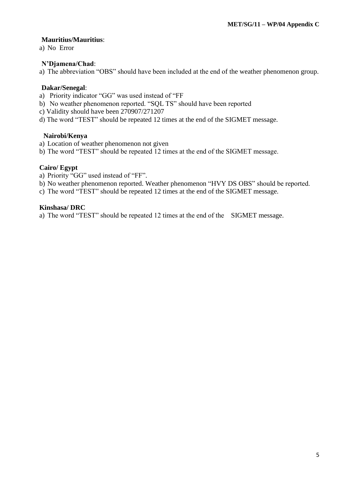#### **Mauritius/Mauritius**:

a) No Error

# **N'Djamena/Chad**:

a) The abbreviation "OBS" should have been included at the end of the weather phenomenon group.

#### **Dakar/Senegal**:

- a) Priority indicator "GG" was used instead of "FF
- b) No weather phenomenon reported. "SQL TS" should have been reported
- c) Validity should have been 270907/271207
- d) The word "TEST" should be repeated 12 times at the end of the SIGMET message.

#### **Nairobi/Kenya**

- a) Location of weather phenomenon not given
- b) The word "TEST" should be repeated 12 times at the end of the SIGMET message.

#### **Cairo/ Egypt**

- a) Priority "GG" used instead of "FF".
- b) No weather phenomenon reported. Weather phenomenon "HVY DS OBS" should be reported.
- c) The word "TEST" should be repeated 12 times at the end of the SIGMET message.

#### **Kinshasa/ DRC**

a) The word "TEST" should be repeated 12 times at the end of the SIGMET message.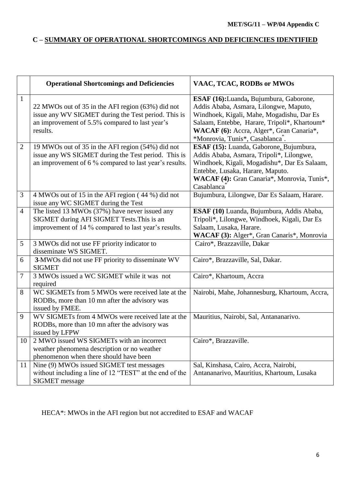# **C – SUMMARY OF OPERATIONAL SHORTCOMINGS AND DEFICIENCIES IDENTIFIED**

|                | <b>Operational Shortcomings and Deficiencies</b>                                                                                                                       | VAAC, TCAC, RODBs or MWOs                                                                                                                                                                                                                                                  |
|----------------|------------------------------------------------------------------------------------------------------------------------------------------------------------------------|----------------------------------------------------------------------------------------------------------------------------------------------------------------------------------------------------------------------------------------------------------------------------|
| $\mathbf{1}$   | 22 MWOs out of 35 in the AFI region (63%) did not<br>issue any WV SIGMET during the Test period. This is<br>an improvement of 5.5% compared to last year's<br>results. | ESAF (16): Luanda, Bujumbura, Gaborone,<br>Addis Ababa, Asmara, Lilongwe, Maputo,<br>Windhoek, Kigali, Mahe, Mogadishu, Dar Es<br>Salaam, Entebbe, Harare, Tripoli*, Khartoum*<br>WACAF (6): Accra, Alger*, Gran Canaria*,<br>*Monrovia, Tunis*, Casablanca <sup>*</sup> . |
| $\mathbf{2}$   | 19 MWOs out of 35 in the AFI region (54%) did not<br>issue any WS SIGMET during the Test period. This is<br>an improvement of 6 % compared to last year's results.     | ESAF (15): Luanda, Gaborone, Bujumbura,<br>Addis Ababa, Asmara, Tripoli*, Lilongwe,<br>Windhoek, Kigali, Mogadishu*, Dar Es Salaam,<br>Entebbe, Lusaka, Harare, Maputo.<br>WACAF (4): Gran Canaria*, Monrovia, Tunis*,<br>Casablanca                                       |
| 3              | 4 MWOs out of 15 in the AFI region (44 %) did not<br>issue any WC SIGMET during the Test                                                                               | Bujumbura, Lilongwe, Dar Es Salaam, Harare.                                                                                                                                                                                                                                |
| $\overline{4}$ | The listed 13 MWOs (37%) have never issued any<br>SIGMET during AFI SIGMET Tests. This is an<br>improvement of 14 % compared to last year's results.                   | ESAF (10) Luanda, Bujumbura, Addis Ababa,<br>Tripoli*, Lilongwe, Windhoek, Kigali, Dar Es<br>Salaam, Lusaka, Harare.<br>WACAF (3): Alger*, Gran Canaris*, Monrovia                                                                                                         |
| 5              | 3 MWOs did not use FF priority indicator to<br>disseminate WS SIGMET.                                                                                                  | Cairo*, Brazzaville, Dakar                                                                                                                                                                                                                                                 |
| 6              | 3-MWOs did not use FF priority to disseminate WV<br><b>SIGMET</b>                                                                                                      | Cairo*, Brazzaville, Sal, Dakar.                                                                                                                                                                                                                                           |
| $\tau$         | 3 MWOs issued a WC SIGMET while it was not<br>required                                                                                                                 | Cairo*, Khartoum, Accra                                                                                                                                                                                                                                                    |
| 8              | WC SIGMETs from 5 MWOs were received late at the<br>RODBs, more than 10 mn after the advisory was<br>issued by FMEE.                                                   | Nairobi, Mahe, Johannesburg, Khartoum, Accra,                                                                                                                                                                                                                              |
| 9              | WV SIGMETs from 4 MWOs were received late at the<br>RODBs, more than 10 mn after the advisory was<br>issued by LFPW                                                    | Mauritius, Nairobi, Sal, Antananarivo.                                                                                                                                                                                                                                     |
| 10             | 2 MWO issued WS SIGMETs with an incorrect<br>weather phenomena description or no weather<br>phenomenon when there should have been                                     | Cairo*, Brazzaville.                                                                                                                                                                                                                                                       |
| 11             | Nine (9) MWOs issued SIGMET test messages<br>without including a line of 12 "TEST" at the end of the<br><b>SIGMET</b> message                                          | Sal, Kinshasa, Cairo, Accra, Nairobi,<br>Antananarivo, Mauritius, Khartoum, Lusaka                                                                                                                                                                                         |

HECA\*: MWOs in the AFI region but not accredited to ESAF and WACAF